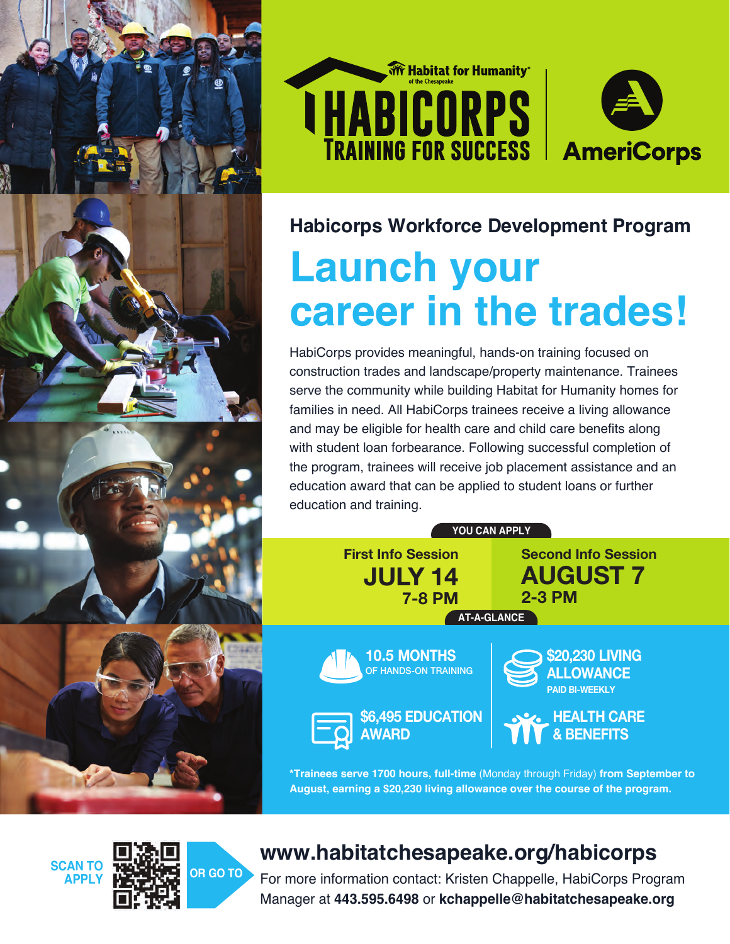





#### **Habicorps Workforce Development Program**

# **Launch your career in the trades!**

HabiCorps provides meaningful, hands-on training focused on construction trades and landscape/property maintenance. Trainees serve the community while building Habitat for Humanity homes for families in need. All HabiCorps trainees receive a living allowance and may be eligible for health care and child care benefits along with student loan forbearance. Following successful completion of the program, trainees will receive job placement assistance and an education award that can be applied to student loans or further education and training.

**YOU CAN APPLY**

**First Info Session JULY 14 7-8 PM**

**10.5 MONTHS** OF HANDS-ON TRAINING **\$6,495 EDUCATION**

**AWARD**

**AUGUST 7 2-3 PM AT-A-GLANCE**

**Second Info Session**



**\$20,230 LIVING ALLOWANCE PAID BI-WEEKLY**

**HEALTH CARE & BENEFITS**

**\*Trainees serve 1700 hours, full-time** (Monday through Friday) **from September to August, earning a \$20,230 living allowance over the course of the program.**



## **www.habitatchesapeake.org/habicorps**

For more information contact: Kristen Chappelle, HabiCorps Program Manager at **443.595.6498** or **kchappelle@habitatchesapeake.org**